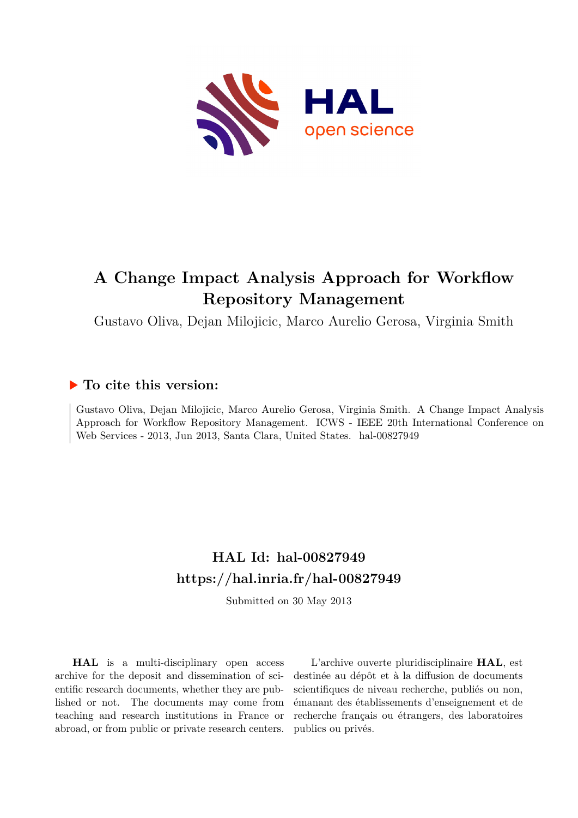

## **A Change Impact Analysis Approach for Workflow Repository Management**

Gustavo Oliva, Dejan Milojicic, Marco Aurelio Gerosa, Virginia Smith

### **To cite this version:**

Gustavo Oliva, Dejan Milojicic, Marco Aurelio Gerosa, Virginia Smith. A Change Impact Analysis Approach for Workflow Repository Management. ICWS - IEEE 20th International Conference on Web Services - 2013, Jun 2013, Santa Clara, United States. hal-00827949

## **HAL Id: hal-00827949 <https://hal.inria.fr/hal-00827949>**

Submitted on 30 May 2013

**HAL** is a multi-disciplinary open access archive for the deposit and dissemination of scientific research documents, whether they are published or not. The documents may come from teaching and research institutions in France or abroad, or from public or private research centers.

L'archive ouverte pluridisciplinaire **HAL**, est destinée au dépôt et à la diffusion de documents scientifiques de niveau recherche, publiés ou non, émanant des établissements d'enseignement et de recherche français ou étrangers, des laboratoires publics ou privés.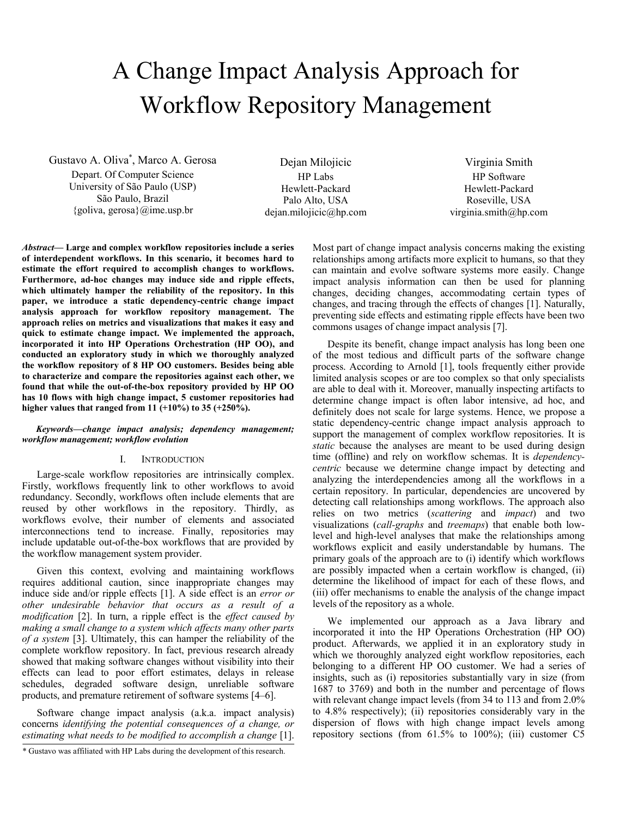# A Change Impact Analysis Approach for Workflow Repository Management

Gustavo A. Oliva\* , Marco A. Gerosa Depart. Of Computer Science University of São Paulo (USP) São Paulo, Brazil {goliva, gerosa}@ime.usp.br

Dejan Milojicic HP Labs Hewlett-Packard Palo Alto, USA dejan.milojicic@hp.com

Virginia Smith HP Software Hewlett-Packard Roseville, USA virginia.smith@hp.com

*Abstract***— Large and complex workflow repositories include a series of interdependent workflows. In this scenario, it becomes hard to estimate the effort required to accomplish changes to workflows. Furthermore, ad-hoc changes may induce side and ripple effects, which ultimately hamper the reliability of the repository. In this paper, we introduce a static dependency-centric change impact analysis approach for workflow repository management. The approach relies on metrics and visualizations that makes it easy and quick to estimate change impact. We implemented the approach, incorporated it into HP Operations Orchestration (HP OO), and conducted an exploratory study in which we thoroughly analyzed the workflow repository of 8 HP OO customers. Besides being able to characterize and compare the repositories against each other, we found that while the out-of-the-box repository provided by HP OO has 10 flows with high change impact, 5 customer repositories had higher values that ranged from 11 (+10%) to 35 (+250%).**

#### *Keywords—change impact analysis; dependency management; workflow management; workflow evolution*

#### I. INTRODUCTION

Large-scale workflow repositories are intrinsically complex. Firstly, workflows frequently link to other workflows to avoid redundancy. Secondly, workflows often include elements that are reused by other workflows in the repository. Thirdly, as workflows evolve, their number of elements and associated interconnections tend to increase. Finally, repositories may include updatable out-of-the-box workflows that are provided by the workflow management system provider.

Given this context, evolving and maintaining workflows requires additional caution, since inappropriate changes may induce side and/or ripple effects [1]. A side effect is an *error or other undesirable behavior that occurs as a result of a modification* [2]. In turn, a ripple effect is the *effect caused by making a small change to a system which affects many other parts of a system* [3]. Ultimately, this can hamper the reliability of the complete workflow repository. In fact, previous research already showed that making software changes without visibility into their effects can lead to poor effort estimates, delays in release schedules, degraded software design, unreliable software products, and premature retirement of software systems [4–6].

Software change impact analysis (a.k.a. impact analysis) concerns *identifying the potential consequences of a change, or estimating what needs to be modified to accomplish a change* [1]. Most part of change impact analysis concerns making the existing relationships among artifacts more explicit to humans, so that they can maintain and evolve software systems more easily. Change impact analysis information can then be used for planning changes, deciding changes, accommodating certain types of changes, and tracing through the effects of changes [1]. Naturally, preventing side effects and estimating ripple effects have been two commons usages of change impact analysis [7].

Despite its benefit, change impact analysis has long been one of the most tedious and difficult parts of the software change process. According to Arnold [1], tools frequently either provide limited analysis scopes or are too complex so that only specialists are able to deal with it. Moreover, manually inspecting artifacts to determine change impact is often labor intensive, ad hoc, and definitely does not scale for large systems. Hence, we propose a static dependency-centric change impact analysis approach to support the management of complex workflow repositories. It is *static* because the analyses are meant to be used during design time (offline) and rely on workflow schemas. It is *dependencycentric* because we determine change impact by detecting and analyzing the interdependencies among all the workflows in a certain repository. In particular, dependencies are uncovered by detecting call relationships among workflows. The approach also relies on two metrics (*scattering* and *impact*) and two visualizations (*call-graphs* and *treemaps*) that enable both lowlevel and high-level analyses that make the relationships among workflows explicit and easily understandable by humans. The primary goals of the approach are to (i) identify which workflows are possibly impacted when a certain workflow is changed, (ii) determine the likelihood of impact for each of these flows, and (iii) offer mechanisms to enable the analysis of the change impact levels of the repository as a whole.

We implemented our approach as a Java library and incorporated it into the HP Operations Orchestration (HP OO) product. Afterwards, we applied it in an exploratory study in which we thoroughly analyzed eight workflow repositories, each belonging to a different HP OO customer. We had a series of insights, such as (i) repositories substantially vary in size (from 1687 to 3769) and both in the number and percentage of flows with relevant change impact levels (from 34 to 113 and from 2.0%) to 4.8% respectively); (ii) repositories considerably vary in the dispersion of flows with high change impact levels among repository sections (from 61.5% to 100%); (iii) customer C5

<sup>\*</sup> Gustavo was affiliated with HP Labs during the development of this research.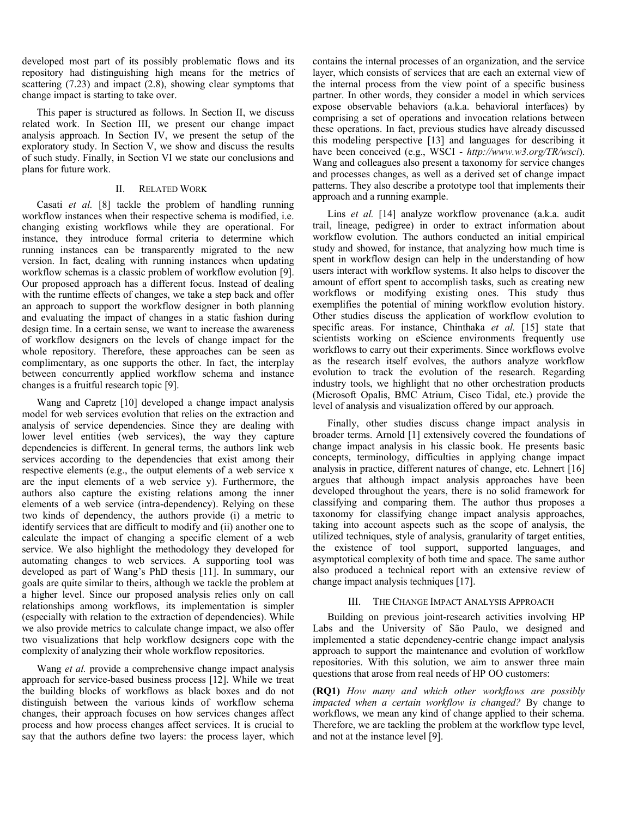developed most part of its possibly problematic flows and its repository had distinguishing high means for the metrics of scattering (7.23) and impact (2.8), showing clear symptoms that change impact is starting to take over.

This paper is structured as follows. In Section II, we discuss related work. In Section III, we present our change impact analysis approach. In Section IV, we present the setup of the exploratory study. In Section V, we show and discuss the results of such study. Finally, in Section VI we state our conclusions and plans for future work.

#### II. RELATED WORK

Casati *et al.* [8] tackle the problem of handling running workflow instances when their respective schema is modified, i.e. changing existing workflows while they are operational. For instance, they introduce formal criteria to determine which running instances can be transparently migrated to the new version. In fact, dealing with running instances when updating workflow schemas is a classic problem of workflow evolution [9]. Our proposed approach has a different focus. Instead of dealing with the runtime effects of changes, we take a step back and offer an approach to support the workflow designer in both planning and evaluating the impact of changes in a static fashion during design time. In a certain sense, we want to increase the awareness of workflow designers on the levels of change impact for the whole repository. Therefore, these approaches can be seen as complimentary, as one supports the other. In fact, the interplay between concurrently applied workflow schema and instance changes is a fruitful research topic [9].

Wang and Capretz [10] developed a change impact analysis model for web services evolution that relies on the extraction and analysis of service dependencies. Since they are dealing with lower level entities (web services), the way they capture dependencies is different. In general terms, the authors link web services according to the dependencies that exist among their respective elements (e.g., the output elements of a web service x are the input elements of a web service y). Furthermore, the authors also capture the existing relations among the inner elements of a web service (intra-dependency). Relying on these two kinds of dependency, the authors provide (i) a metric to identify services that are difficult to modify and (ii) another one to calculate the impact of changing a specific element of a web service. We also highlight the methodology they developed for automating changes to web services. A supporting tool was developed as part of Wang's PhD thesis [11]. In summary, our goals are quite similar to theirs, although we tackle the problem at a higher level. Since our proposed analysis relies only on call relationships among workflows, its implementation is simpler (especially with relation to the extraction of dependencies). While we also provide metrics to calculate change impact, we also offer two visualizations that help workflow designers cope with the complexity of analyzing their whole workflow repositories.

Wang *et al.* provide a comprehensive change impact analysis approach for service-based business process [12]. While we treat the building blocks of workflows as black boxes and do not distinguish between the various kinds of workflow schema changes, their approach focuses on how services changes affect process and how process changes affect services. It is crucial to say that the authors define two layers: the process layer, which

contains the internal processes of an organization, and the service layer, which consists of services that are each an external view of the internal process from the view point of a specific business partner. In other words, they consider a model in which services expose observable behaviors (a.k.a. behavioral interfaces) by comprising a set of operations and invocation relations between these operations. In fact, previous studies have already discussed this modeling perspective [13] and languages for describing it have been conceived (e.g., WSCI - *http://www.w3.org/TR/wsci*). Wang and colleagues also present a taxonomy for service changes and processes changes, as well as a derived set of change impact patterns. They also describe a prototype tool that implements their approach and a running example.

Lins *et al.* [14] analyze workflow provenance (a.k.a. audit trail, lineage, pedigree) in order to extract information about workflow evolution. The authors conducted an initial empirical study and showed, for instance, that analyzing how much time is spent in workflow design can help in the understanding of how users interact with workflow systems. It also helps to discover the amount of effort spent to accomplish tasks, such as creating new workflows or modifying existing ones. This study thus exemplifies the potential of mining workflow evolution history. Other studies discuss the application of workflow evolution to specific areas. For instance, Chinthaka *et al.* [15] state that scientists working on eScience environments frequently use workflows to carry out their experiments. Since workflows evolve as the research itself evolves, the authors analyze workflow evolution to track the evolution of the research. Regarding industry tools, we highlight that no other orchestration products (Microsoft Opalis, BMC Atrium, Cisco Tidal, etc.) provide the level of analysis and visualization offered by our approach.

Finally, other studies discuss change impact analysis in broader terms. Arnold [1] extensively covered the foundations of change impact analysis in his classic book. He presents basic concepts, terminology, difficulties in applying change impact analysis in practice, different natures of change, etc. Lehnert [16] argues that although impact analysis approaches have been developed throughout the years, there is no solid framework for classifying and comparing them. The author thus proposes a taxonomy for classifying change impact analysis approaches, taking into account aspects such as the scope of analysis, the utilized techniques, style of analysis, granularity of target entities, the existence of tool support, supported languages, and asymptotical complexity of both time and space. The same author also produced a technical report with an extensive review of change impact analysis techniques [17].

#### III. THE CHANGE IMPACT ANALYSIS APPROACH

<span id="page-2-0"></span>Building on previous joint-research activities involving HP Labs and the University of São Paulo, we designed and implemented a static dependency-centric change impact analysis approach to support the maintenance and evolution of workflow repositories. With this solution, we aim to answer three main questions that arose from real needs of HP OO customers:

**(RQ1)** *How many and which other workflows are possibly impacted when a certain workflow is changed?* By change to workflows, we mean any kind of change applied to their schema. Therefore, we are tackling the problem at the workflow type level, and not at the instance level [9].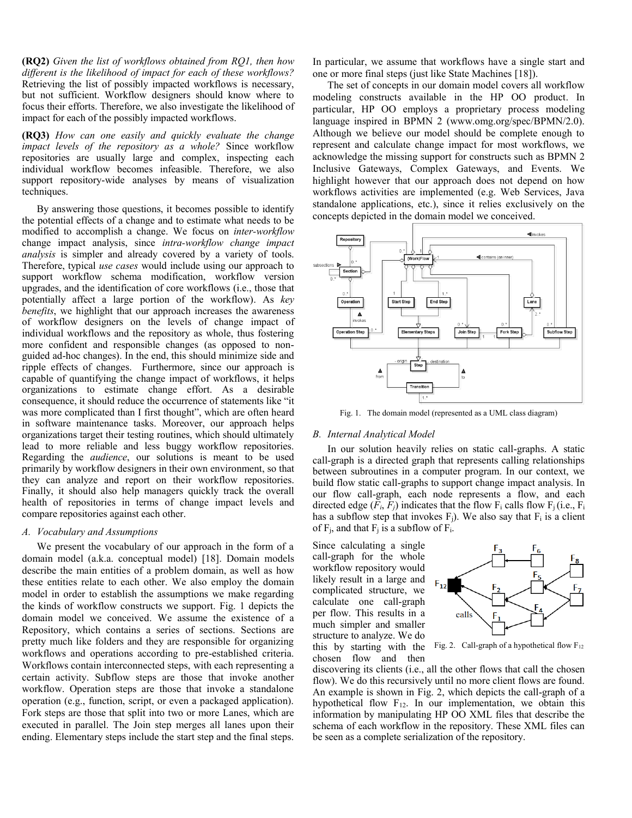**(RQ2)** *Given the list of workflows obtained from RQ1, then how different is the likelihood of impact for each of these workflows?* Retrieving the list of possibly impacted workflows is necessary, but not sufficient. Workflow designers should know where to focus their efforts. Therefore, we also investigate the likelihood of impact for each of the possibly impacted workflows.

**(RQ3)** *How can one easily and quickly evaluate the change impact levels of the repository as a whole?* Since workflow repositories are usually large and complex, inspecting each individual workflow becomes infeasible. Therefore, we also support repository-wide analyses by means of visualization techniques.

By answering those questions, it becomes possible to identify the potential effects of a change and to estimate what needs to be modified to accomplish a change. We focus on *inter-workflow* change impact analysis, since *intra-workflow change impact analysis* is simpler and already covered by a variety of tools. Therefore, typical *use cases* would include using our approach to support workflow schema modification, workflow version upgrades, and the identification of core workflows (i.e., those that potentially affect a large portion of the workflow). As *key benefits*, we highlight that our approach increases the awareness of workflow designers on the levels of change impact of individual workflows and the repository as whole, thus fostering more confident and responsible changes (as opposed to nonguided ad-hoc changes). In the end, this should minimize side and ripple effects of changes. Furthermore, since our approach is capable of quantifying the change impact of workflows, it helps organizations to estimate change effort. As a desirable consequence, it should reduce the occurrence of statements like "it was more complicated than I first thought", which are often heard in software maintenance tasks. Moreover, our approach helps organizations target their testing routines, which should ultimately lead to more reliable and less buggy workflow repositories. Regarding the *audience*, our solutions is meant to be used primarily by workflow designers in their own environment, so that they can analyze and report on their workflow repositories. Finally, it should also help managers quickly track the overall health of repositories in terms of change impact levels and compare repositories against each other.

#### *A. Vocabulary and Assumptions*

We present the vocabulary of our approach in the form of a domain model (a.k.a. conceptual model) [18]. Domain models describe the main entities of a problem domain, as well as how these entities relate to each other. We also employ the domain model in order to establish the assumptions we make regarding the kinds of workflow constructs we support. [Fig. 1](#page-3-0) depicts the domain model we conceived. We assume the existence of a Repository, which contains a series of sections. Sections are pretty much like folders and they are responsible for organizing workflows and operations according to pre-established criteria. Workflows contain interconnected steps, with each representing a certain activity. Subflow steps are those that invoke another workflow. Operation steps are those that invoke a standalone operation (e.g., function, script, or even a packaged application). Fork steps are those that split into two or more Lanes, which are executed in parallel. The Join step merges all lanes upon their ending. Elementary steps include the start step and the final steps.

In particular, we assume that workflows have a single start and one or more final steps (just like State Machines [18]).

The set of concepts in our domain model covers all workflow modeling constructs available in the HP OO product. In particular, HP OO employs a proprietary process modeling language inspired in BPMN 2 (www.omg.org/spec/BPMN/2.0). Although we believe our model should be complete enough to represent and calculate change impact for most workflows, we acknowledge the missing support for constructs such as BPMN 2 Inclusive Gateways, Complex Gateways, and Events. We highlight however that our approach does not depend on how workflows activities are implemented (e.g. Web Services, Java standalone applications, etc.), since it relies exclusively on the concepts depicted in the domain model we conceived.



Fig. 1. The domain model (represented as a UML class diagram)

#### <span id="page-3-0"></span>*B. Internal Analytical Model*

In our solution heavily relies on static call-graphs. A static call-graph is a directed graph that represents calling relationships between subroutines in a computer program. In our context, we build flow static call-graphs to support change impact analysis. In our flow call-graph, each node represents a flow, and each directed edge  $(F_i, F_j)$  indicates that the flow  $F_i$  calls flow  $F_i$  (i.e.,  $F_i$ has a subflow step that invokes  $F_i$ ). We also say that  $F_i$  is a client of  $F_i$ , and that  $F_i$  is a subflow of  $F_i$ .

Since calculating a single call-graph for the whole workflow repository would likely result in a large and complicated structure, we calculate one call-graph per flow. This results in a much simpler and smaller structure to analyze. We do this by starting with the chosen flow and then



Fig. 2. Call-graph of a hypothetical flow  $F_{12}$ 

discovering its clients (i.e., all the other flows that call the chosen flow). We do this recursively until no more client flows are found. An example is shown in [Fig. 2,](#page-5-0) which depicts the call-graph of a hypothetical flow F<sub>12</sub>. In our implementation, we obtain this information by manipulating HP OO XML files that describe the schema of each workflow in the repository. These XML files can be seen as a complete serialization of the repository.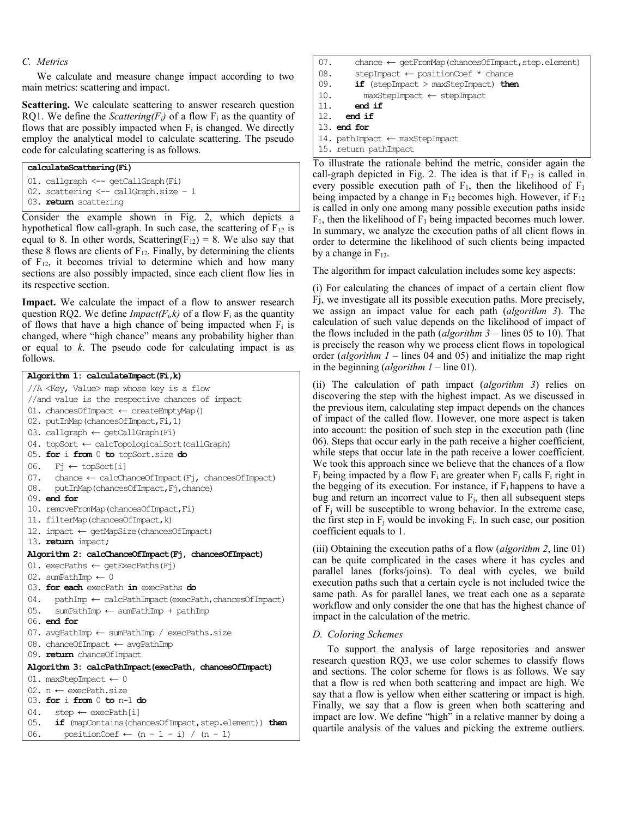#### *C. Metrics*

We calculate and measure change impact according to two main metrics: scattering and impact.

**Scattering.** We calculate scattering to answer research question RQ1. We define the *Scattering*( $F_i$ ) of a flow  $F_i$  as the quantity of flows that are possibly impacted when  $F_i$  is changed. We directly employ the analytical model to calculate scattering. The pseudo code for calculating scattering is as follows.

- 01. callgraph <-- getCallGraph(Fi)
- 02. scattering <-- callGraph.size 1
- 03. **return** scattering

Consider the example shown in Fig. 2, which depicts a hypothetical flow call-graph. In such case, the scattering of  $F_{12}$  is equal to 8. In other words, Scattering( $F_{12}$ ) = 8. We also say that these 8 flows are clients of  $F_{12}$ . Finally, by determining the clients of F12, it becomes trivial to determine which and how many sections are also possibly impacted, since each client flow lies in its respective section.

**Impact.** We calculate the impact of a flow to answer research question RQ2. We define *Impact*( $F_i$ *k*) of a flow  $F_i$  as the quantity of flows that have a high chance of being impacted when  $F_i$  is changed, where "high chance" means any probability higher than or equal to *k*. The pseudo code for calculating impact is as follows.

| Algorithm 1: calculateImpact(Fi,k)                                          |
|-----------------------------------------------------------------------------|
| //A $\ll$ ev, Value> map whose key is a flow                                |
| //and value is the respective chances of impact                             |
| 01. chancesOfImpact $\leftarrow$ createEmptyMap()                           |
| 02. putInMap (chancesOfImpact, Fi, 1)                                       |
| 03. callgraph $\leftarrow$ getCallGraph(Fi)                                 |
| 04. topSort $\leftarrow$ calcTopologicalSort (callGraph)                    |
| 05. for i from 0 to topSort.size do                                         |
| 06. Fi $\leftarrow$ topSort[i]                                              |
| 07. chance $\leftarrow$ calcChanceOfImpact(Fj, chancesOfImpact)             |
| 08. putInMap(chancesOfImpact, Fj, chance)                                   |
| 09. end for                                                                 |
| 10. removeFromMap(chancesOfImpact, Fi)<br>11. filterMap(chancesOfImpact, k) |
| 12. impact $\leftarrow$ qetMapSize(chancesOfImpact)                         |
| 13. return impact;                                                          |
| Algorithm 2: calcChanceOfImpact(Fj, chancesOfImpact)                        |
| 01. execPaths $\leftarrow$ qetExecPaths (Fj)                                |
| 02. sumPathImp $\leftarrow$ 0                                               |
| 03. for each execPath in execPaths do                                       |
| 04. pathImp $\leftarrow$ calcPathImpact (execPath, chancesOfImpact)         |
| 05.<br>$sumPathImp \leftarrow sumPathImp + pathImp$                         |
| 06. end for                                                                 |
| 07. avgPathImp ← sumPathImp / execPaths.size                                |
| 08. chanceOfImpact $\leftarrow$ avgPathImp                                  |
| 09. return chanceOfImpact                                                   |
| Algorithm 3: calcPathImpact(execPath, chancesOfImpact)                      |
| 01. maxStepImpact $\leftarrow$ 0                                            |
| $02. n \leftarrow$ execPath.size                                            |
| 03. for $i$ from $0$ to $n-1$ do                                            |
| 04. step $\leftarrow$ execPath[i]                                           |
| 05. <b>if</b> (mapContains (chancesOfImpact, step.element)) then            |
| 06. positionCoef $\leftarrow$ (n - 1 - i) / (n - 1)                         |

| 07. | $chance \leftarrow getFromMap(chancesOfImport, step. element)$ |
|-----|----------------------------------------------------------------|
| 08. | stepImpact $\leftarrow$ positionCoef $*$ chance                |
| 09. | <b>if</b> (stepImpact > maxStepImpact) <b>then</b>             |
| 10. | $maxStepImpack \leftarrow stepImpack$                          |
| 11. | end if                                                         |
| 12. | end if                                                         |
|     | $13.$ end for                                                  |
|     | 14. pathImpact $\leftarrow$ maxStepImpact                      |

15. return pathImpact

To illustrate the rationale behind the metric, consider again the call-graph depicted in Fig. 2. The idea is that if  $F_{12}$  is called in every possible execution path of  $F_1$ , then the likelihood of  $F_1$ being impacted by a change in  $F_{12}$  becomes high. However, if  $F_{12}$ is called in only one among many possible execution paths inside  $F_1$ , then the likelihood of  $F_1$  being impacted becomes much lower. In summary, we analyze the execution paths of all client flows in order to determine the likelihood of such clients being impacted by a change in  $F_{12}$ .

The algorithm for impact calculation includes some key aspects:

(i) For calculating the chances of impact of a certain client flow Fj, we investigate all its possible execution paths. More precisely, we assign an impact value for each path (*algorithm 3*). The calculation of such value depends on the likelihood of impact of the flows included in the path (*algorithm 3* – lines 05 to 10). That is precisely the reason why we process client flows in topological order (*algorithm 1* – lines 04 and 05) and initialize the map right in the beginning (*algorithm 1* – line 01).

(ii) The calculation of path impact (*algorithm 3*) relies on discovering the step with the highest impact. As we discussed in the previous item, calculating step impact depends on the chances of impact of the called flow. However, one more aspect is taken into account: the position of such step in the execution path (line 06). Steps that occur early in the path receive a higher coefficient, while steps that occur late in the path receive a lower coefficient. We took this approach since we believe that the chances of a flow  $F_i$  being impacted by a flow  $F_i$  are greater when  $F_i$  calls  $F_i$  right in the begging of its execution. For instance, if  $F_i$  happens to have a bug and return an incorrect value to  $F_i$ , then all subsequent steps of  $F_i$  will be susceptible to wrong behavior. In the extreme case, the first step in  $F_i$  would be invoking  $F_i$ . In such case, our position coefficient equals to 1.

(iii) Obtaining the execution paths of a flow (*algorithm 2*, line 01) can be quite complicated in the cases where it has cycles and parallel lanes (forks/joins). To deal with cycles, we build execution paths such that a certain cycle is not included twice the same path. As for parallel lanes, we treat each one as a separate workflow and only consider the one that has the highest chance of impact in the calculation of the metric.

#### *D. Coloring Schemes*

To support the analysis of large repositories and answer research question RQ3, we use color schemes to classify flows and sections. The color scheme for flows is as follows. We say that a flow is red when both scattering and impact are high. We say that a flow is yellow when either scattering or impact is high. Finally, we say that a flow is green when both scattering and impact are low. We define "high" in a relative manner by doing a quartile analysis of the values and picking the extreme outliers.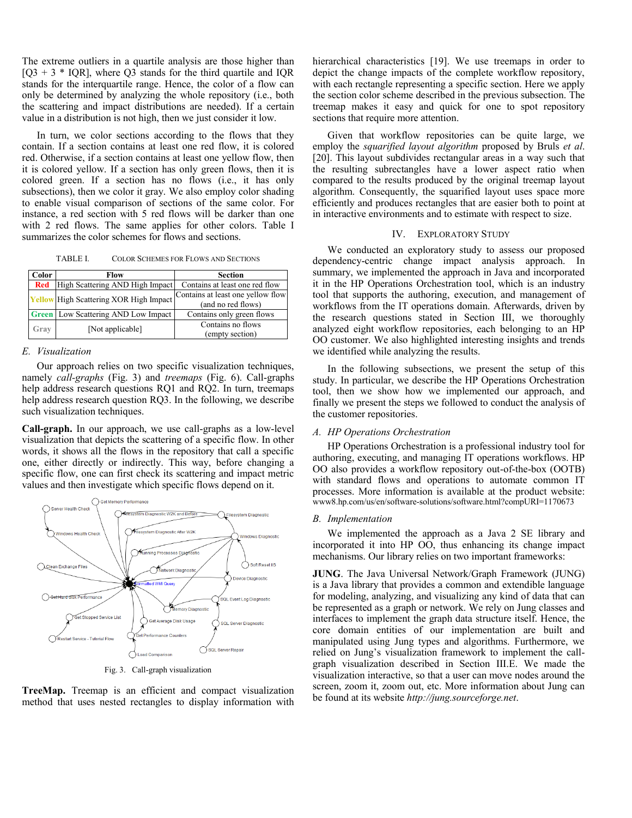The extreme outliers in a quartile analysis are those higher than  $[Q3 + 3 * IQR]$ , where Q3 stands for the third quartile and IQR stands for the interquartile range. Hence, the color of a flow can only be determined by analyzing the whole repository (i.e., both the scattering and impact distributions are needed). If a certain value in a distribution is not high, then we just consider it low.

In turn, we color sections according to the flows that they contain. If a section contains at least one red flow, it is colored red. Otherwise, if a section contains at least one yellow flow, then it is colored yellow. If a section has only green flows, then it is colored green. If a section has no flows (i.e., it has only subsections), then we color it gray. We also employ color shading to enable visual comparison of sections of the same color. For instance, a red section with 5 red flows will be darker than one with 2 red flows. The same applies for other colors. Table I summarizes the color schemes for flows and sections.

| TABLE I. |  | <b>COLOR SCHEMES FOR FLOWS AND SECTIONS</b> |
|----------|--|---------------------------------------------|
|----------|--|---------------------------------------------|

| Color      | Flow                                          | Section                                                 |  |  |  |  |
|------------|-----------------------------------------------|---------------------------------------------------------|--|--|--|--|
| <b>Red</b> | High Scattering AND High Impact               | Contains at least one red flow                          |  |  |  |  |
|            | <b>Yellow</b> High Scattering XOR High Impact | Contains at least one yellow flow<br>(and no red flows) |  |  |  |  |
|            | <b>Green</b> Low Scattering AND Low Impact    | Contains only green flows                               |  |  |  |  |
| Gray       | [Not applicable]                              | Contains no flows<br>(empty section)                    |  |  |  |  |

#### <span id="page-5-1"></span>*E. Visualization*

Our approach relies on two specific visualization techniques, namely *call-graphs* [\(Fig. 3\)](#page-5-0) and *treemaps* [\(Fig. 6\)](#page-7-0). Call-graphs help address research questions RQ1 and RQ2. In turn, treemaps help address research question RQ3. In the following, we describe such visualization techniques.

**Call-graph.** In our approach, we use call-graphs as a low-level visualization that depicts the scattering of a specific flow. In other words, it shows all the flows in the repository that call a specific one, either directly or indirectly. This way, before changing a specific flow, one can first check its scattering and impact metric values and then investigate which specific flows depend on it.



Fig. 3. Call-graph visualization

<span id="page-5-0"></span>**TreeMap.** Treemap is an efficient and compact visualization method that uses nested rectangles to display information with hierarchical characteristics [19]. We use treemaps in order to depict the change impacts of the complete workflow repository, with each rectangle representing a specific section. Here we apply the section color scheme described in the previous subsection. The treemap makes it easy and quick for one to spot repository sections that require more attention.

Given that workflow repositories can be quite large, we employ the *squarified layout algorithm* proposed by Bruls *et al*. [20]. This layout subdivides rectangular areas in a way such that the resulting subrectangles have a lower aspect ratio when compared to the results produced by the original treemap layout algorithm. Consequently, the squarified layout uses space more efficiently and produces rectangles that are easier both to point at in interactive environments and to estimate with respect to size.

#### IV. EXPLORATORY STUDY

We conducted an exploratory study to assess our proposed dependency-centric change impact analysis approach. In summary, we implemented the approach in Java and incorporated it in the HP Operations Orchestration tool, which is an industry tool that supports the authoring, execution, and management of workflows from the IT operations domain. Afterwards, driven by the research questions stated in Section [III,](#page-2-0) we thoroughly analyzed eight workflow repositories, each belonging to an HP OO customer. We also highlighted interesting insights and trends we identified while analyzing the results.

In the following subsections, we present the setup of this study. In particular, we describe the HP Operations Orchestration tool, then we show how we implemented our approach, and finally we present the steps we followed to conduct the analysis of the customer repositories.

#### *A. HP Operations Orchestration*

HP Operations Orchestration is a professional industry tool for authoring, executing, and managing IT operations workflows. HP OO also provides a workflow repository out-of-the-box (OOTB) with standard flows and operations to automate common IT processes. More information is available at the product website: www8.hp.com/us/en/software-solutions/software.html?compURI=1170673

#### *B. Implementation*

We implemented the approach as a Java 2 SE library and incorporated it into HP OO, thus enhancing its change impact mechanisms. Our library relies on two important frameworks:

**JUNG**. The Java Universal Network/Graph Framework (JUNG) is a Java library that provides a common and extendible language for modeling, analyzing, and visualizing any kind of data that can be represented as a graph or network. We rely on Jung classes and interfaces to implement the graph data structure itself. Hence, the core domain entities of our implementation are built and manipulated using Jung types and algorithms. Furthermore, we relied on Jung's visualization framework to implement the callgraph visualization described in Section [III.E.](#page-5-1) We made the visualization interactive, so that a user can move nodes around the screen, zoom it, zoom out, etc. More information about Jung can be found at its website *http://jung.sourceforge.net*.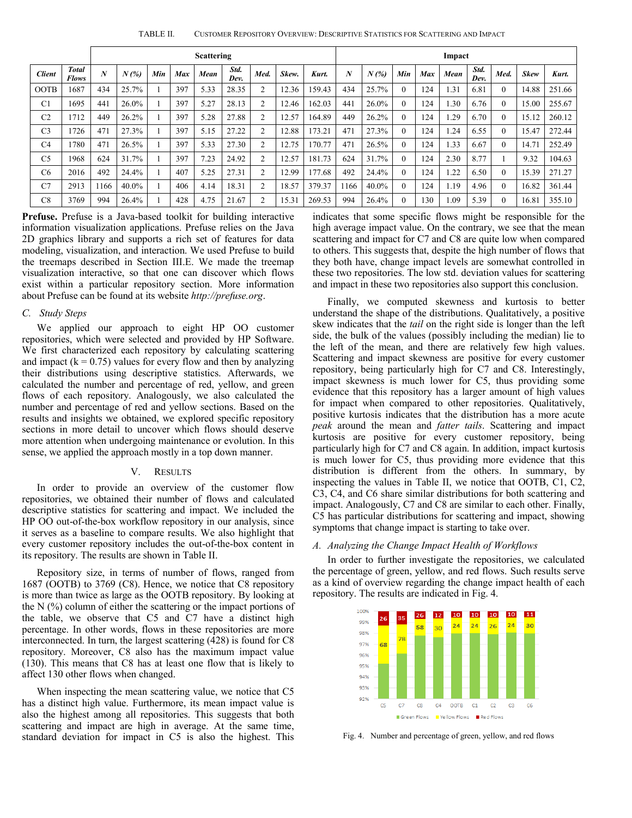TABLE II. CUSTOMER REPOSITORY OVERVIEW: DESCRIPTIVE STATISTICS FOR SCATTERING AND IMPACT

|                |                              | <b>Scattering</b> |         |     |            |      |              |                | Impact |        |      |         |          |            |      |              |              |             |        |
|----------------|------------------------------|-------------------|---------|-----|------------|------|--------------|----------------|--------|--------|------|---------|----------|------------|------|--------------|--------------|-------------|--------|
| <b>Client</b>  | <b>Total</b><br><b>Flows</b> | $\boldsymbol{N}$  | $N(\%)$ | Min | <b>Max</b> | Mean | Std.<br>Dev. | Med.           | Skew.  | Kurt.  | N    | $N(\%)$ | Min      | <b>Max</b> | Mean | Std.<br>Dev. | Med.         | <b>Skew</b> | Kurt.  |
| <b>OOTB</b>    | 1687                         | 434               | 25.7%   |     | 397        | 5.33 | 28.35        | 2              | 2.36   | 159.43 | 434  | 25.7%   | $\theta$ | 124        | 1.31 | 6.81         | $\theta$     | 14.88       | 251.66 |
| C <sub>1</sub> | 1695                         | 441               | 26.0%   |     | 397        | 5.27 | 28.13        | 2              | 12.46  | 162.03 | 441  | 26.0%   | $\theta$ | 124        | 1.30 | 6.76         | $\theta$     | 15.00       | 255.67 |
| C <sub>2</sub> | 1712                         | 449               | 26.2%   |     | 397        | 5.28 | 27.88        | 2              | 2.57   | 164.89 | 449  | 26.2%   | $\Omega$ | 124        | .29  | 6.70         | $\theta$     | 15.12       | 260.12 |
| C <sub>3</sub> | 1726                         | 471               | 27.3%   |     | 397        | 5.15 | 27.22        | 2              | 2.88   | 173.21 | 471  | 27.3%   | $\Omega$ | 124        | 1.24 | 6.55         | $\theta$     | 15.47       | 272.44 |
| C <sub>4</sub> | 1780                         | 471               | 26.5%   |     | 397        | 5.33 | 27.30        | 2              | 12.75  | 170.77 | 471  | 26.5%   | $\Omega$ | 124        | 1.33 | 6.67         | $\mathbf{0}$ | 14.71       | 252.49 |
| C <sub>5</sub> | 1968                         | 624               | 31.7%   |     | 397        | 7.23 | 24.92        | 2              | 12.57  | 181.73 | 624  | 31.7%   | $\theta$ | 124        | 2.30 | 8.77         |              | 9.32        | 104.63 |
| C <sub>6</sub> | 2016                         | 492               | 24.4%   |     | 407        | 5.25 | 27.31        | $\overline{2}$ | 12.99  | 177.68 | 492  | 24.4%   | $\theta$ | 124        | .22  | 6.50         | $\theta$     | 15.39       | 271.27 |
| C7             | 2913                         | 166               | 40.0%   |     | 406        | 4.14 | 18.31        | 2              | 18.57  | 379.37 | 1166 | 40.0%   | $\Omega$ | 124        | 1.19 | 4.96         | $\theta$     | 16.82       | 361.44 |
| C8             | 3769                         | 994               | 26.4%   |     | 428        | 4.75 | 21.67        | 2              | 15.31  | 269.53 | 994  | 26.4%   | $\theta$ | 130        | .09  | 5.39         | $\theta$     | 16.81       | 355.10 |

**Prefuse.** Prefuse is a Java-based toolkit for building interactive information visualization applications. Prefuse relies on the Java 2D graphics library and supports a rich set of features for data modeling, visualization, and interaction. We used Prefuse to build the treemaps described in Section [III.E.](#page-5-1) We made the treemap visualization interactive, so that one can discover which flows exist within a particular repository section. More information about Prefuse can be found at its website *http://prefuse.org*.

#### *C. Study Steps*

We applied our approach to eight HP OO customer repositories, which were selected and provided by HP Software. We first characterized each repository by calculating scattering and impact  $(k = 0.75)$  values for every flow and then by analyzing their distributions using descriptive statistics. Afterwards, we calculated the number and percentage of red, yellow, and green flows of each repository. Analogously, we also calculated the number and percentage of red and yellow sections. Based on the results and insights we obtained, we explored specific repository sections in more detail to uncover which flows should deserve more attention when undergoing maintenance or evolution. In this sense, we applied the approach mostly in a top down manner.

#### V. RESULTS

In order to provide an overview of the customer flow repositories, we obtained their number of flows and calculated descriptive statistics for scattering and impact. We included the HP OO out-of-the-box workflow repository in our analysis, since it serves as a baseline to compare results. We also highlight that every customer repository includes the out-of-the-box content in its repository. The results are shown in Table II.

Repository size, in terms of number of flows, ranged from 1687 (OOTB) to 3769 (C8). Hence, we notice that C8 repository is more than twice as large as the OOTB repository. By looking at the N (%) column of either the scattering or the impact portions of the table, we observe that C5 and C7 have a distinct high percentage. In other words, flows in these repositories are more interconnected. In turn, the largest scattering (428) is found for C8 repository. Moreover, C8 also has the maximum impact value (130). This means that C8 has at least one flow that is likely to affect 130 other flows when changed.

When inspecting the mean scattering value, we notice that C5 has a distinct high value. Furthermore, its mean impact value is also the highest among all repositories. This suggests that both scattering and impact are high in average. At the same time, standard deviation for impact in C5 is also the highest. This

indicates that some specific flows might be responsible for the high average impact value. On the contrary, we see that the mean scattering and impact for C7 and C8 are quite low when compared to others. This suggests that, despite the high number of flows that they both have, change impact levels are somewhat controlled in these two repositories. The low std. deviation values for scattering and impact in these two repositories also support this conclusion.

Finally, we computed skewness and kurtosis to better understand the shape of the distributions. Qualitatively, a positive skew indicates that the *tail* on the right side is longer than the left side, the bulk of the values (possibly including the median) lie to the left of the mean, and there are relatively few high values. Scattering and impact skewness are positive for every customer repository, being particularly high for C7 and C8. Interestingly, impact skewness is much lower for C5, thus providing some evidence that this repository has a larger amount of high values for impact when compared to other repositories. Qualitatively, positive kurtosis indicates that the distribution has a more acute *peak* around the mean and *fatter tails*. Scattering and impact kurtosis are positive for every customer repository, being particularly high for C7 and C8 again. In addition, impact kurtosis is much lower for C5, thus providing more evidence that this distribution is different from the others. In summary, by inspecting the values in Table II, we notice that OOTB, C1, C2, C3, C4, and C6 share similar distributions for both scattering and impact. Analogously, C7 and C8 are similar to each other. Finally, C5 has particular distributions for scattering and impact, showing symptoms that change impact is starting to take over.

#### *A. Analyzing the Change Impact Health of Workflows*

In order to further investigate the repositories, we calculated the percentage of green, yellow, and red flows. Such results serve as a kind of overview regarding the change impact health of each repository. The results are indicated in [Fig. 4.](#page-6-0)



<span id="page-6-0"></span>Fig. 4. Number and percentage of green, yellow, and red flows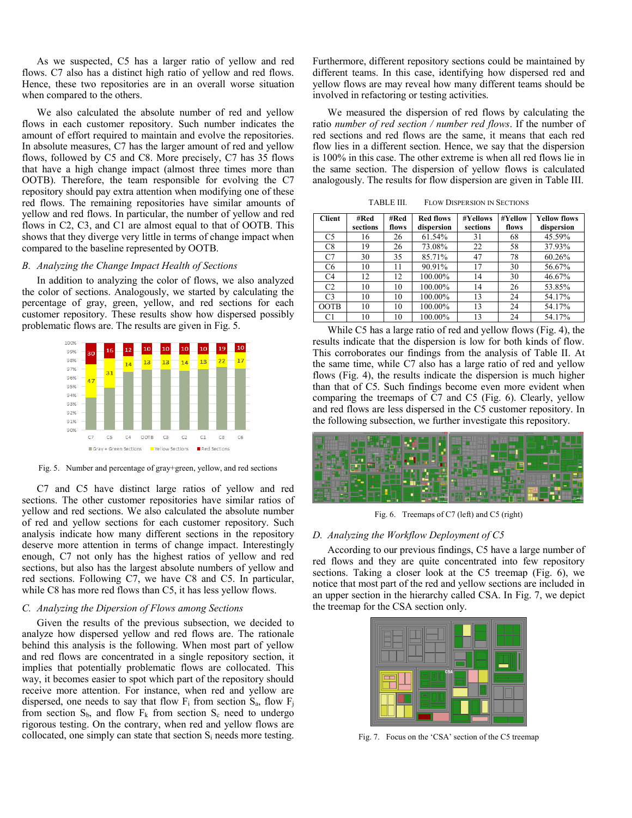As we suspected, C5 has a larger ratio of yellow and red flows. C7 also has a distinct high ratio of yellow and red flows. Hence, these two repositories are in an overall worse situation when compared to the others.

We also calculated the absolute number of red and yellow flows in each customer repository. Such number indicates the amount of effort required to maintain and evolve the repositories. In absolute measures, C7 has the larger amount of red and yellow flows, followed by C5 and C8. More precisely, C7 has 35 flows that have a high change impact (almost three times more than OOTB). Therefore, the team responsible for evolving the C7 repository should pay extra attention when modifying one of these red flows. The remaining repositories have similar amounts of yellow and red flows. In particular, the number of yellow and red flows in C2, C3, and C1 are almost equal to that of OOTB. This shows that they diverge very little in terms of change impact when compared to the baseline represented by OOTB.

#### *B. Analyzing the Change Impact Health of Sections*

In addition to analyzing the color of flows, we also analyzed the color of sections. Analogously, we started by calculating the percentage of gray, green, yellow, and red sections for each customer repository. These results show how dispersed possibly problematic flows are. The results are given i[n Fig. 5.](#page-7-1)



<span id="page-7-1"></span>Fig. 5. Number and percentage of gray+green, yellow, and red sections

C7 and C5 have distinct large ratios of yellow and red sections. The other customer repositories have similar ratios of yellow and red sections. We also calculated the absolute number of red and yellow sections for each customer repository. Such analysis indicate how many different sections in the repository deserve more attention in terms of change impact. Interestingly enough, C7 not only has the highest ratios of yellow and red sections, but also has the largest absolute numbers of yellow and red sections. Following C7, we have C8 and C5. In particular, while C8 has more red flows than C5, it has less yellow flows.

#### *C. Analyzing the Dipersion of Flows among Sections*

Given the results of the previous subsection, we decided to analyze how dispersed yellow and red flows are. The rationale behind this analysis is the following. When most part of yellow and red flows are concentrated in a single repository section, it implies that potentially problematic flows are collocated. This way, it becomes easier to spot which part of the repository should receive more attention. For instance, when red and yellow are dispersed, one needs to say that flow  $F_i$  from section  $S_a$ , flow  $F_j$ from section  $S_b$ , and flow  $F_k$  from section  $S_c$  need to undergo rigorous testing. On the contrary, when red and yellow flows are collocated, one simply can state that section S<sup>i</sup> needs more testing.

Furthermore, different repository sections could be maintained by different teams. In this case, identifying how dispersed red and yellow flows are may reveal how many different teams should be involved in refactoring or testing activities.

We measured the dispersion of red flows by calculating the ratio *number of red section / number red flows*. If the number of red sections and red flows are the same, it means that each red flow lies in a different section. Hence, we say that the dispersion is 100% in this case. The other extreme is when all red flows lie in the same section. The dispersion of yellow flows is calculated analogously. The results for flow dispersion are given in Table III.

TABLE III. FLOW DISPERSION IN SECTIONS

| <b>Client</b>  | #Red     | #Red  | <b>Red flows</b> | #Yellows | #Yellow | <b>Yellow flows</b> |
|----------------|----------|-------|------------------|----------|---------|---------------------|
|                | sections | flows | dispersion       | sections | flows   | dispersion          |
| C <sub>5</sub> | 16       | 26    | 61.54%           | 31       | 68      | 45.59%              |
| C8             | 19       | 26    | 73.08%           | 22       | 58      | 37.93%              |
| C <sub>7</sub> | 30       | 35    | 85.71%           | 47       | 78      | 60.26%              |
| C <sub>6</sub> | 10       | 11    | 90.91%           | 17       | 30      | 56.67%              |
| C <sub>4</sub> | 12       | 12    | 100.00%          | 14       | 30      | 46.67%              |
| C <sub>2</sub> | 10       | 10    | 100.00%          | 14       | 26      | 53.85%              |
| C <sub>3</sub> | 10       | 10    | 100.00%          | 13       | 24      | 54.17%              |
| <b>OOTB</b>    | 10       | 10    | 100.00%          | 13       | 24      | 54.17%              |
| C1             | 10       | 10    | 100.00%          | 13       | 24      | 54.17%              |

While C5 has a large ratio of red and yellow flows [\(Fig. 4\)](#page-6-0), the results indicate that the dispersion is low for both kinds of flow. This corroborates our findings from the analysis of Table II. At the same time, while C7 also has a large ratio of red and yellow flows [\(Fig. 4\)](#page-6-0), the results indicate the dispersion is much higher than that of C5. Such findings become even more evident when comparing the treemaps of C7 and C5 [\(Fig. 6\)](#page-7-0). Clearly, yellow and red flows are less dispersed in the C5 customer repository. In the following subsection, we further investigate this repository.



Fig. 6. Treemaps of C7 (left) and C5 (right)

#### <span id="page-7-0"></span>*D. Analyzing the Workflow Deployment of C5*

According to our previous findings, C5 have a large number of red flows and they are quite concentrated into few repository sections. Taking a closer look at the C5 treemap [\(Fig. 6\)](#page-7-0), we notice that most part of the red and yellow sections are included in an upper section in the hierarchy called CSA. In [Fig. 7,](#page-7-2) we depict the treemap for the CSA section only.

<span id="page-7-2"></span>

Fig. 7. Focus on the 'CSA' section of the C5 treemap